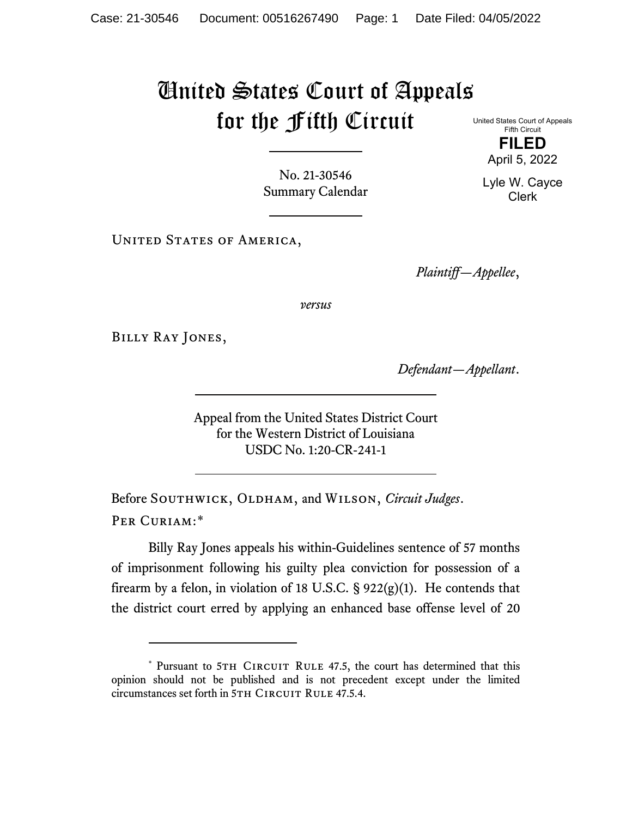## United States Court of Appeals for the Fifth Circuit

United States Court of Appeals Fifth Circuit **FILED**

No. 21-30546 Summary Calendar

UNITED STATES OF AMERICA,

*Plaintiff—Appellee*,

*versus*

Billy Ray Jones,

*Defendant—Appellant*.

Appeal from the United States District Court for the Western District of Louisiana USDC No. 1:20-CR-241-1

Before SOUTHWICK, OLDHAM, and WILSON, *Circuit Judges*. Per Curiam:[\\*](#page-0-0)

Billy Ray Jones appeals his within-Guidelines sentence of 57 months of imprisonment following his guilty plea conviction for possession of a firearm by a felon, in violation of 18 U.S.C.  $\S$  922(g)(1). He contends that the district court erred by applying an enhanced base offense level of 20

April 5, 2022 Lyle W. Cayce

Clerk

<span id="page-0-0"></span><sup>\*</sup> Pursuant to 5TH CIRCUIT RULE 47.5, the court has determined that this opinion should not be published and is not precedent except under the limited circumstances set forth in 5TH CIRCUIT RULE 47.5.4.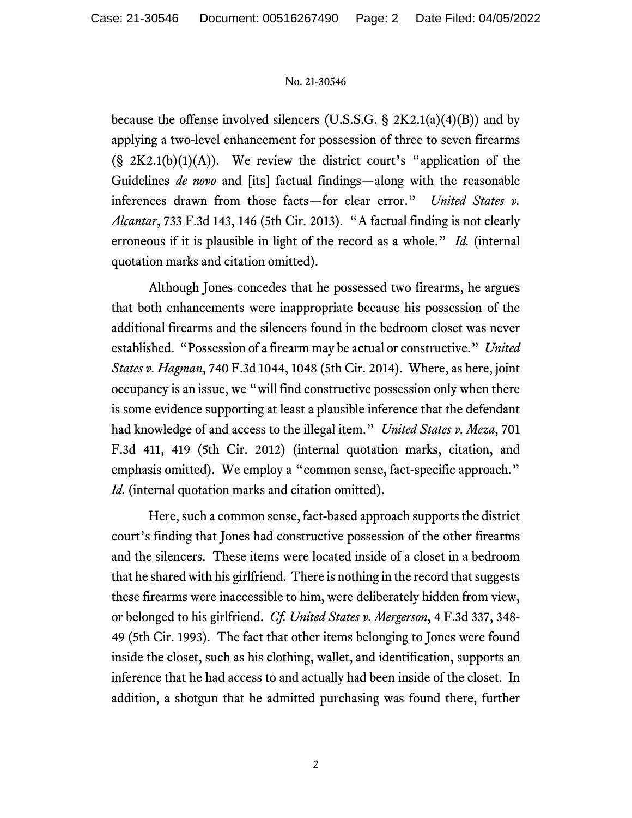## No. 21-30546

because the offense involved silencers (U.S.S.G.  $\S 2K2.1(a)(4)(B)$ ) and by applying a two-level enhancement for possession of three to seven firearms  $(S, 2K2.1(b)(1)(A))$ . We review the district court's "application of the Guidelines *de novo* and [its] factual findings—along with the reasonable inferences drawn from those facts—for clear error." *United States v. Alcantar*, 733 F.3d 143, 146 (5th Cir. 2013). "A factual finding is not clearly erroneous if it is plausible in light of the record as a whole." *Id.* (internal quotation marks and citation omitted).

Although Jones concedes that he possessed two firearms, he argues that both enhancements were inappropriate because his possession of the additional firearms and the silencers found in the bedroom closet was never established. "Possession of a firearm may be actual or constructive." *United States v. Hagman*, 740 F.3d 1044, 1048 (5th Cir. 2014). Where, as here, joint occupancy is an issue, we "will find constructive possession only when there is some evidence supporting at least a plausible inference that the defendant had knowledge of and access to the illegal item." *United States v. Meza*, 701 F.3d 411, 419 (5th Cir. 2012) (internal quotation marks, citation, and emphasis omitted). We employ a "common sense, fact-specific approach." *Id.* (internal quotation marks and citation omitted).

Here, such a common sense, fact-based approach supports the district court's finding that Jones had constructive possession of the other firearms and the silencers. These items were located inside of a closet in a bedroom that he shared with his girlfriend. There is nothing in the record that suggests these firearms were inaccessible to him, were deliberately hidden from view, or belonged to his girlfriend. *Cf. United States v. Mergerson*, 4 F.3d 337, 348- 49 (5th Cir. 1993). The fact that other items belonging to Jones were found inside the closet, such as his clothing, wallet, and identification, supports an inference that he had access to and actually had been inside of the closet. In addition, a shotgun that he admitted purchasing was found there, further